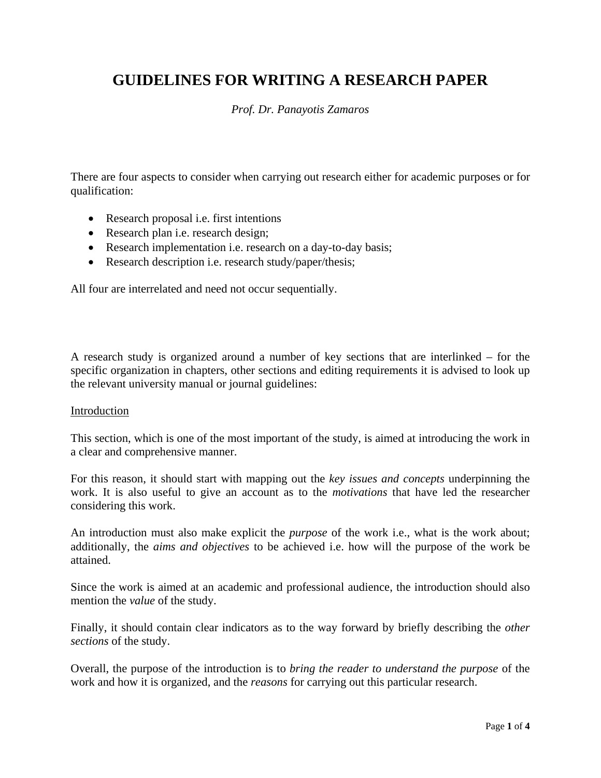# **GUIDELINES FOR WRITING A RESEARCH PAPER**

# *Prof. Dr. Panayotis Zamaros*

There are four aspects to consider when carrying out research either for academic purposes or for qualification:

- Research proposal *i.e.* first intentions
- Research plan *i.e.* research design;
- Research implementation i.e. research on a day-to-day basis;
- Research description i.e. research study/paper/thesis;

All four are interrelated and need not occur sequentially.

A research study is organized around a number of key sections that are interlinked – for the specific organization in chapters, other sections and editing requirements it is advised to look up the relevant university manual or journal guidelines:

#### Introduction

This section, which is one of the most important of the study, is aimed at introducing the work in a clear and comprehensive manner.

For this reason, it should start with mapping out the *key issues and concepts* underpinning the work. It is also useful to give an account as to the *motivations* that have led the researcher considering this work.

An introduction must also make explicit the *purpose* of the work i.e., what is the work about; additionally, the *aims and objectives* to be achieved i.e. how will the purpose of the work be attained.

Since the work is aimed at an academic and professional audience, the introduction should also mention the *value* of the study.

Finally, it should contain clear indicators as to the way forward by briefly describing the *other sections* of the study.

Overall, the purpose of the introduction is to *bring the reader to understand the purpose* of the work and how it is organized, and the *reasons* for carrying out this particular research.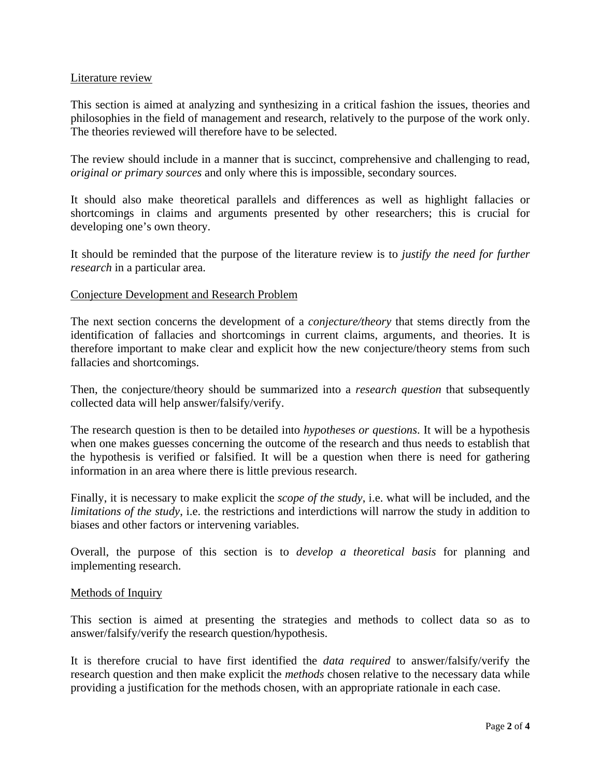## Literature review

This section is aimed at analyzing and synthesizing in a critical fashion the issues, theories and philosophies in the field of management and research, relatively to the purpose of the work only. The theories reviewed will therefore have to be selected.

The review should include in a manner that is succinct, comprehensive and challenging to read, *original or primary sources* and only where this is impossible, secondary sources.

It should also make theoretical parallels and differences as well as highlight fallacies or shortcomings in claims and arguments presented by other researchers; this is crucial for developing one's own theory.

It should be reminded that the purpose of the literature review is to *justify the need for further research* in a particular area.

## Conjecture Development and Research Problem

The next section concerns the development of a *conjecture/theory* that stems directly from the identification of fallacies and shortcomings in current claims, arguments, and theories. It is therefore important to make clear and explicit how the new conjecture/theory stems from such fallacies and shortcomings.

Then, the conjecture/theory should be summarized into a *research question* that subsequently collected data will help answer/falsify/verify.

The research question is then to be detailed into *hypotheses or questions*. It will be a hypothesis when one makes guesses concerning the outcome of the research and thus needs to establish that the hypothesis is verified or falsified. It will be a question when there is need for gathering information in an area where there is little previous research.

Finally, it is necessary to make explicit the *scope of the study*, i.e. what will be included, and the *limitations of the study*, i.e. the restrictions and interdictions will narrow the study in addition to biases and other factors or intervening variables.

Overall, the purpose of this section is to *develop a theoretical basis* for planning and implementing research.

#### Methods of Inquiry

This section is aimed at presenting the strategies and methods to collect data so as to answer/falsify/verify the research question/hypothesis.

It is therefore crucial to have first identified the *data required* to answer/falsify/verify the research question and then make explicit the *methods* chosen relative to the necessary data while providing a justification for the methods chosen, with an appropriate rationale in each case.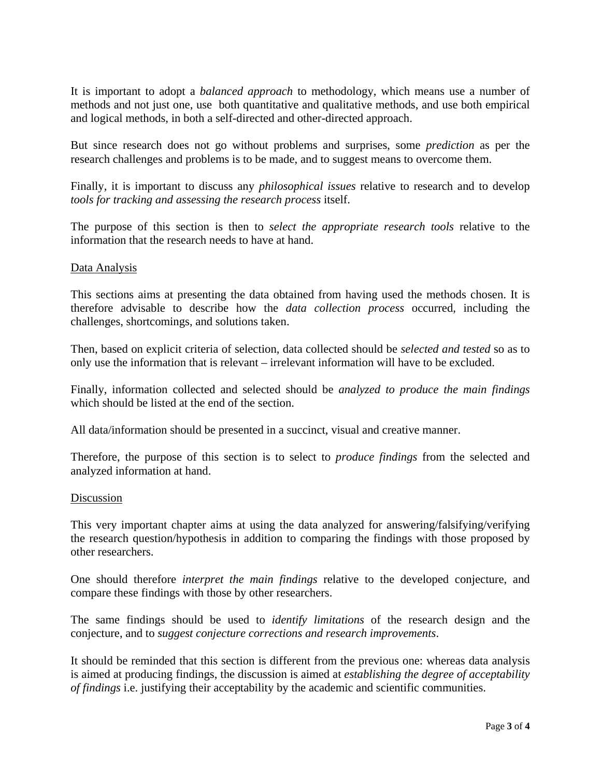It is important to adopt a *balanced approach* to methodology, which means use a number of methods and not just one, use both quantitative and qualitative methods, and use both empirical and logical methods, in both a self-directed and other-directed approach.

But since research does not go without problems and surprises, some *prediction* as per the research challenges and problems is to be made, and to suggest means to overcome them.

Finally, it is important to discuss any *philosophical issues* relative to research and to develop *tools for tracking and assessing the research process* itself.

The purpose of this section is then to *select the appropriate research tools* relative to the information that the research needs to have at hand.

## Data Analysis

This sections aims at presenting the data obtained from having used the methods chosen. It is therefore advisable to describe how the *data collection process* occurred, including the challenges, shortcomings, and solutions taken.

Then, based on explicit criteria of selection, data collected should be *selected and tested* so as to only use the information that is relevant – irrelevant information will have to be excluded.

Finally, information collected and selected should be *analyzed to produce the main findings* which should be listed at the end of the section.

All data/information should be presented in a succinct, visual and creative manner.

Therefore, the purpose of this section is to select to *produce findings* from the selected and analyzed information at hand.

#### Discussion

This very important chapter aims at using the data analyzed for answering/falsifying/verifying the research question/hypothesis in addition to comparing the findings with those proposed by other researchers.

One should therefore *interpret the main findings* relative to the developed conjecture, and compare these findings with those by other researchers.

The same findings should be used to *identify limitations* of the research design and the conjecture, and to *suggest conjecture corrections and research improvements*.

It should be reminded that this section is different from the previous one: whereas data analysis is aimed at producing findings, the discussion is aimed at *establishing the degree of acceptability of findings* i.e. justifying their acceptability by the academic and scientific communities.